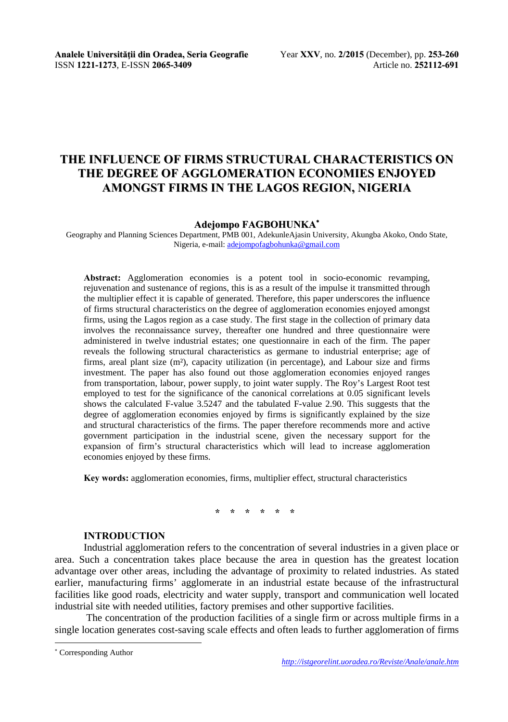**Analele Universității din Oradea, Seria Geografie** Year **XXV**, no. **2/2015** (December), pp. **253-260** ISSN **1221-1273**. E-ISSN **2065-3409** Article no. **252112-691 ISSN 1221-1273, E-ISSN 2065-3409** 

# **THE INFLUENCE OF FIRMS STRUCTURAL CHARACTERISTICS ON THE DEGREE OF AGGLOMERATION ECONOMIES ENJOYED AMONGST FIRMS IN THE LAGOS REGION, NIGERIA**

#### **Adejompo FAGBOHUNKA**

Geography and Planning Sciences Department, PMB 001, AdekunleAjasin University, Akungba Akoko, Ondo State, Nigeria, e-mail: adejompofagbohunka@gmail.com

**Abstract:** Agglomeration economies is a potent tool in socio-economic revamping, rejuvenation and sustenance of regions, this is as a result of the impulse it transmitted through the multiplier effect it is capable of generated. Therefore, this paper underscores the influence of firms structural characteristics on the degree of agglomeration economies enjoyed amongst firms, using the Lagos region as a case study. The first stage in the collection of primary data involves the reconnaissance survey, thereafter one hundred and three questionnaire were administered in twelve industrial estates; one questionnaire in each of the firm. The paper reveals the following structural characteristics as germane to industrial enterprise; age of firms, areal plant size (m²), capacity utilization (in percentage), and Labour size and firms investment. The paper has also found out those agglomeration economies enjoyed ranges from transportation, labour, power supply, to joint water supply. The Roy's Largest Root test employed to test for the significance of the canonical correlations at 0.05 significant levels shows the calculated F-value 3.5247 and the tabulated F-value 2.90. This suggests that the degree of agglomeration economies enjoyed by firms is significantly explained by the size and structural characteristics of the firms. The paper therefore recommends more and active government participation in the industrial scene, given the necessary support for the expansion of firm's structural characteristics which will lead to increase agglomeration economies enjoyed by these firms.

**Key words:** agglomeration economies, firms, multiplier effect, structural characteristics

## **\* \* \* \* \* \***

#### **INTRODUCTION**

Industrial agglomeration refers to the concentration of several industries in a given place or area. Such a concentration takes place because the area in question has the greatest location advantage over other areas, including the advantage of proximity to related industries. As stated earlier, manufacturing firms' agglomerate in an industrial estate because of the infrastructural facilities like good roads, electricity and water supply, transport and communication well located industrial site with needed utilities, factory premises and other supportive facilities.

 The concentration of the production facilities of a single firm or across multiple firms in a single location generates cost-saving scale effects and often leads to further agglomeration of firms

l

 Corresponding Author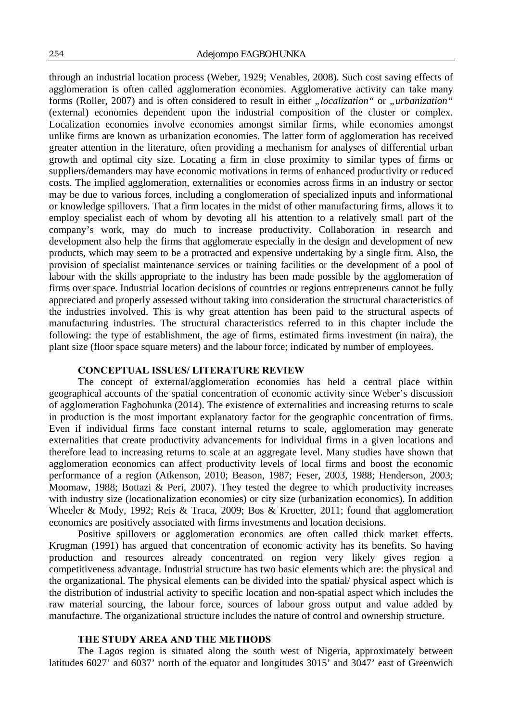through an industrial location process (Weber, 1929; Venables, 2008). Such cost saving effects of agglomeration is often called agglomeration economies. Agglomerative activity can take many forms (Roller, 2007) and is often considered to result in either "*localization*" or "*urbanization*" (external) economies dependent upon the industrial composition of the cluster or complex. Localization economies involve economies amongst similar firms, while economies amongst unlike firms are known as urbanization economies. The latter form of agglomeration has received greater attention in the literature, often providing a mechanism for analyses of differential urban growth and optimal city size. Locating a firm in close proximity to similar types of firms or suppliers/demanders may have economic motivations in terms of enhanced productivity or reduced costs. The implied agglomeration, externalities or economies across firms in an industry or sector may be due to various forces, including a conglomeration of specialized inputs and informational or knowledge spillovers. That a firm locates in the midst of other manufacturing firms, allows it to employ specialist each of whom by devoting all his attention to a relatively small part of the company's work, may do much to increase productivity. Collaboration in research and development also help the firms that agglomerate especially in the design and development of new products, which may seem to be a protracted and expensive undertaking by a single firm. Also, the provision of specialist maintenance services or training facilities or the development of a pool of labour with the skills appropriate to the industry has been made possible by the agglomeration of firms over space. Industrial location decisions of countries or regions entrepreneurs cannot be fully appreciated and properly assessed without taking into consideration the structural characteristics of the industries involved. This is why great attention has been paid to the structural aspects of manufacturing industries. The structural characteristics referred to in this chapter include the following: the type of establishment, the age of firms, estimated firms investment (in naira), the plant size (floor space square meters) and the labour force; indicated by number of employees.

#### **CONCEPTUAL ISSUES/ LITERATURE REVIEW**

The concept of external/agglomeration economies has held a central place within geographical accounts of the spatial concentration of economic activity since Weber's discussion of agglomeration Fagbohunka (2014). The existence of externalities and increasing returns to scale in production is the most important explanatory factor for the geographic concentration of firms. Even if individual firms face constant internal returns to scale, agglomeration may generate externalities that create productivity advancements for individual firms in a given locations and therefore lead to increasing returns to scale at an aggregate level. Many studies have shown that agglomeration economics can affect productivity levels of local firms and boost the economic performance of a region (Atkenson, 2010; Beason, 1987; Feser, 2003, 1988; Henderson, 2003; Moomaw, 1988; Bottazi & Peri, 2007). They tested the degree to which productivity increases with industry size (locationalization economies) or city size (urbanization economics). In addition Wheeler & Mody, 1992; Reis & Traca, 2009; Bos & Kroetter, 2011; found that agglomeration economics are positively associated with firms investments and location decisions.

Positive spillovers or agglomeration economics are often called thick market effects. Krugman (1991) has argued that concentration of economic activity has its benefits. So having production and resources already concentrated on region very likely gives region a competitiveness advantage. Industrial structure has two basic elements which are: the physical and the organizational. The physical elements can be divided into the spatial/ physical aspect which is the distribution of industrial activity to specific location and non-spatial aspect which includes the raw material sourcing, the labour force, sources of labour gross output and value added by manufacture. The organizational structure includes the nature of control and ownership structure.

## **THE STUDY AREA AND THE METHODS**

The Lagos region is situated along the south west of Nigeria, approximately between latitudes 6027' and 6037' north of the equator and longitudes 3015' and 3047' east of Greenwich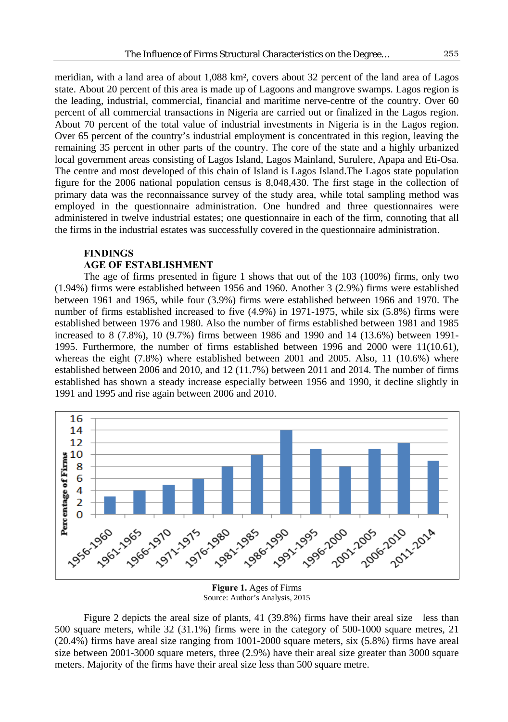meridian, with a land area of about 1,088 km², covers about 32 percent of the land area of Lagos state. About 20 percent of this area is made up of Lagoons and mangrove swamps. Lagos region is the leading, industrial, commercial, financial and maritime nerve-centre of the country. Over 60 percent of all commercial transactions in Nigeria are carried out or finalized in the Lagos region. About 70 percent of the total value of industrial investments in Nigeria is in the Lagos region. Over 65 percent of the country's industrial employment is concentrated in this region, leaving the remaining 35 percent in other parts of the country. The core of the state and a highly urbanized local government areas consisting of Lagos Island, Lagos Mainland, Surulere, Apapa and Eti-Osa. The centre and most developed of this chain of Island is Lagos Island.The Lagos state population figure for the 2006 national population census is 8,048,430. The first stage in the collection of primary data was the reconnaissance survey of the study area, while total sampling method was employed in the questionnaire administration. One hundred and three questionnaires were administered in twelve industrial estates; one questionnaire in each of the firm, connoting that all the firms in the industrial estates was successfully covered in the questionnaire administration.

## **FINDINGS**

## **AGE OF ESTABLISHMENT**

The age of firms presented in figure 1 shows that out of the 103 (100%) firms, only two (1.94%) firms were established between 1956 and 1960. Another 3 (2.9%) firms were established between 1961 and 1965, while four (3.9%) firms were established between 1966 and 1970. The number of firms established increased to five (4.9%) in 1971-1975, while six (5.8%) firms were established between 1976 and 1980. Also the number of firms established between 1981 and 1985 increased to 8 (7.8%), 10 (9.7%) firms between 1986 and 1990 and 14 (13.6%) between 1991- 1995. Furthermore, the number of firms established between 1996 and 2000 were 11(10.61), whereas the eight (7.8%) where established between 2001 and 2005. Also, 11 (10.6%) where established between 2006 and 2010, and 12 (11.7%) between 2011 and 2014. The number of firms established has shown a steady increase especially between 1956 and 1990, it decline slightly in 1991 and 1995 and rise again between 2006 and 2010.



**Figure 1.** Ages of Firms Source: Author's Analysis, 2015

Figure 2 depicts the areal size of plants, 41 (39.8%) firms have their areal size less than 500 square meters, while 32 (31.1%) firms were in the category of 500-1000 square metres, 21 (20.4%) firms have areal size ranging from 1001-2000 square meters, six (5.8%) firms have areal size between 2001-3000 square meters, three (2.9%) have their areal size greater than 3000 square meters. Majority of the firms have their areal size less than 500 square metre.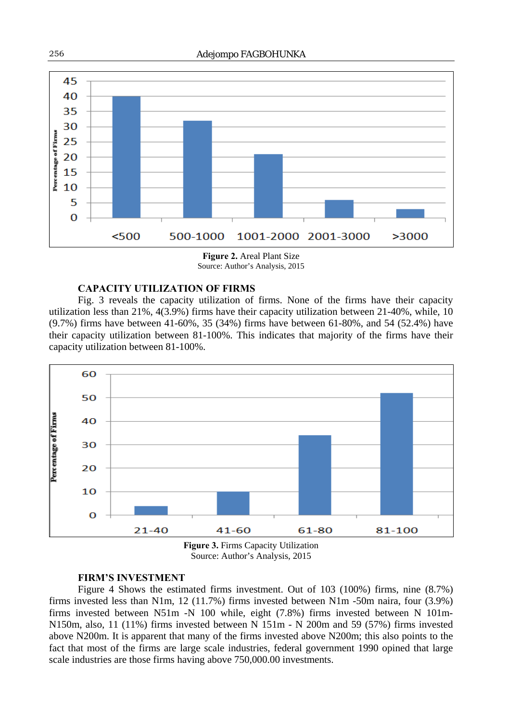

**Figure 2.** Areal Plant Size Source: Author's Analysis, 2015

#### **CAPACITY UTILIZATION OF FIRMS**

Fig. 3 reveals the capacity utilization of firms. None of the firms have their capacity utilization less than 21%, 4(3.9%) firms have their capacity utilization between 21-40%, while, 10 (9.7%) firms have between 41-60%, 35 (34%) firms have between 61-80%, and 54 (52.4%) have their capacity utilization between 81-100%. This indicates that majority of the firms have their capacity utilization between 81-100%.



Source: Author's Analysis, 2015

#### **FIRM'S INVESTMENT**

Figure 4 Shows the estimated firms investment. Out of 103 (100%) firms, nine (8.7%) firms invested less than N1m, 12 (11.7%) firms invested between N1m -50m naira, four (3.9%) firms invested between N51m -N 100 while, eight (7.8%) firms invested between N 101m-N150m, also, 11 (11%) firms invested between N 151m - N 200m and 59 (57%) firms invested above N200m. It is apparent that many of the firms invested above N200m; this also points to the fact that most of the firms are large scale industries, federal government 1990 opined that large scale industries are those firms having above 750,000.00 investments.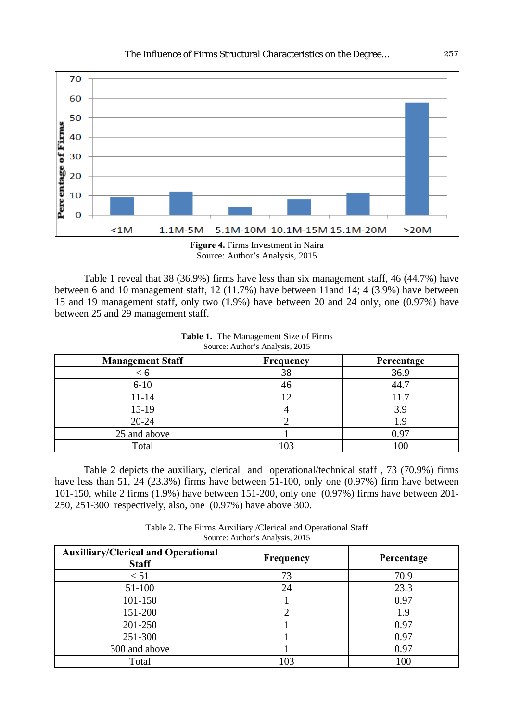

Source: Author's Analysis, 2015

Table 1 reveal that 38 (36.9%) firms have less than six management staff, 46 (44.7%) have between 6 and 10 management staff, 12 (11.7%) have between 11and 14; 4 (3.9%) have between 15 and 19 management staff, only two (1.9%) have between 20 and 24 only, one (0.97%) have between 25 and 29 management staff.

| <b>Management Staff</b> | Frequency | Percentage |  |  |
|-------------------------|-----------|------------|--|--|
| < ი                     | 38        | 36.9       |  |  |
| $6-10$                  | 46        | 44.7       |  |  |
| 11-14                   |           | 11.7       |  |  |
| 15-19                   |           | 3.9        |  |  |
| 20-24                   |           | 1.9        |  |  |
| 25 and above            |           | 0.97       |  |  |
| Total                   | 103       | 100        |  |  |

**Table 1.** The Management Size of Firms Source: Author's Analysis, 2015

Table 2 depicts the auxiliary, clerical and operational/technical staff , 73 (70.9%) firms have less than 51, 24 (23.3%) firms have between 51-100, only one (0.97%) firm have between 101-150, while 2 firms (1.9%) have between 151-200, only one (0.97%) firms have between 201- 250, 251-300 respectively, also, one (0.97%) have above 300.

Table 2. The Firms Auxiliary /Clerical and Operational Staff Source: Author's Analysis, 2015

| <b>Auxilliary/Clerical and Operational</b><br><b>Staff</b> | Frequency | Percentage |  |  |
|------------------------------------------------------------|-----------|------------|--|--|
| < 51                                                       | 73        | 70.9       |  |  |
| 51-100                                                     | 24        | 23.3       |  |  |
| 101-150                                                    |           | 0.97       |  |  |
| 151-200                                                    |           | 1.9        |  |  |
| 201-250                                                    |           | 0.97       |  |  |
| 251-300                                                    |           | 0.97       |  |  |
| 300 and above                                              |           | 0.97       |  |  |
| Total                                                      | 103       | 100        |  |  |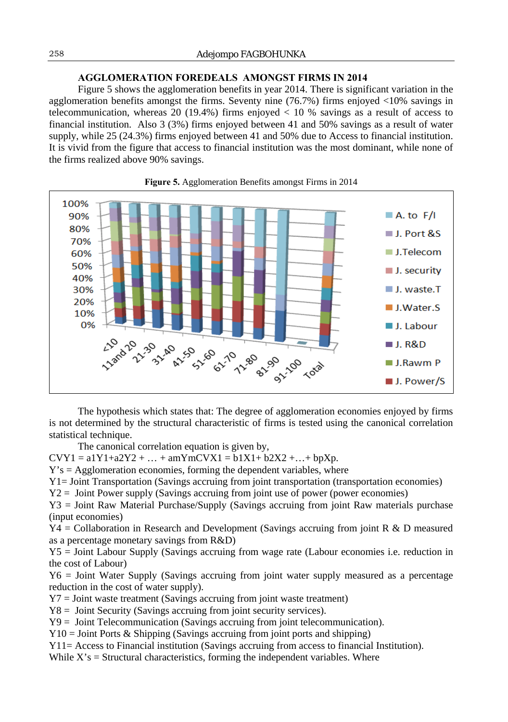## **AGGLOMERATION FOREDEALS AMONGST FIRMS IN 2014**

Figure 5 shows the agglomeration benefits in year 2014. There is significant variation in the agglomeration benefits amongst the firms. Seventy nine (76.7%) firms enjoyed <10% savings in telecommunication, whereas 20 (19.4%) firms enjoyed  $<$  10 % savings as a result of access to financial institution. Also 3 (3%) firms enjoyed between 41 and 50% savings as a result of water supply, while 25 (24.3%) firms enjoyed between 41 and 50% due to Access to financial institution. It is vivid from the figure that access to financial institution was the most dominant, while none of the firms realized above 90% savings.





The hypothesis which states that: The degree of agglomeration economies enjoyed by firms is not determined by the structural characteristic of firms is tested using the canonical correlation statistical technique.

The canonical correlation equation is given by,

 $CVY1 = a1Y1 + a2Y2 + ... + amYmCVX1 = b1X1 + b2X2 + ... + bpXp.$ 

 $Y's = Agglomeration$  economies, forming the dependent variables, where

Y1= Joint Transportation (Savings accruing from joint transportation (transportation economies)

Y2 = Joint Power supply (Savings accruing from joint use of power (power economies)

Y3 = Joint Raw Material Purchase/Supply (Savings accruing from joint Raw materials purchase (input economies)

Y4 = Collaboration in Research and Development (Savings accruing from joint R & D measured as a percentage monetary savings from R&D)

Y5 = Joint Labour Supply (Savings accruing from wage rate (Labour economies i.e. reduction in the cost of Labour)

Y6 = Joint Water Supply (Savings accruing from joint water supply measured as a percentage reduction in the cost of water supply).

Y7 = Joint waste treatment (Savings accruing from joint waste treatment)

Y8 = Joint Security (Savings accruing from joint security services).

Y9 = Joint Telecommunication (Savings accruing from joint telecommunication).

 $Y10 =$  Joint Ports & Shipping (Savings accruing from joint ports and shipping)

Y11= Access to Financial institution (Savings accruing from access to financial Institution).

While  $X$ 's = Structural characteristics, forming the independent variables. Where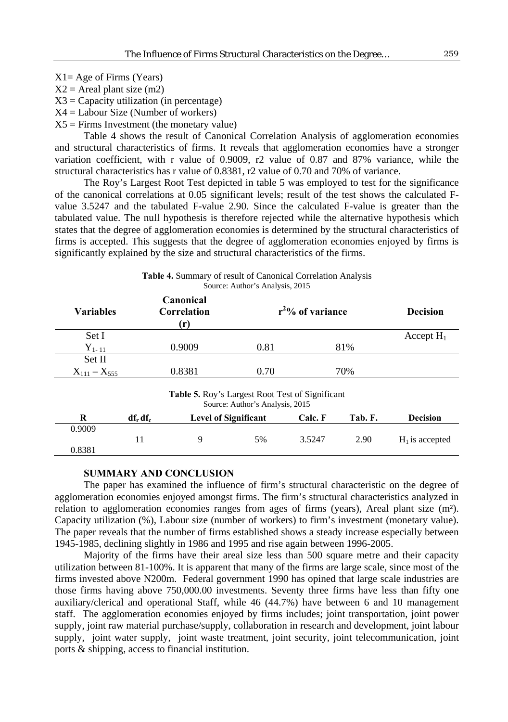$X2$  = Areal plant size (m2)

 $X3 =$  Capacity utilization (in percentage)

 $X4 =$  Labour Size (Number of workers)

 $X5 =$  Firms Investment (the monetary value)

Table 4 shows the result of Canonical Correlation Analysis of agglomeration economies and structural characteristics of firms. It reveals that agglomeration economies have a stronger variation coefficient, with r value of 0.9009, r2 value of 0.87 and 87% variance, while the structural characteristics has r value of 0.8381, r2 value of 0.70 and 70% of variance.

The Roy's Largest Root Test depicted in table 5 was employed to test for the significance of the canonical correlations at 0.05 significant levels; result of the test shows the calculated Fvalue 3.5247 and the tabulated F-value 2.90. Since the calculated F-value is greater than the tabulated value. The null hypothesis is therefore rejected while the alternative hypothesis which states that the degree of agglomeration economies is determined by the structural characteristics of firms is accepted. This suggests that the degree of agglomeration economies enjoyed by firms is significantly explained by the size and structural characteristics of the firms.

| <b>Table 4. Summary of result of Canonical Correlation Analysis</b> |
|---------------------------------------------------------------------|
| Source: Author's Analysis, 2015                                     |

| <b>Variables</b>    |                                                                                           | Canonical<br>Correlation<br>(r) |                             | $r^2$ % of variance |         |                  |  |  |  |
|---------------------|-------------------------------------------------------------------------------------------|---------------------------------|-----------------------------|---------------------|---------|------------------|--|--|--|
| Set I               |                                                                                           |                                 |                             |                     |         | Accept $H_1$     |  |  |  |
| $Y_{1-11}$          |                                                                                           | 0.9009                          | 0.81                        |                     | 81%     |                  |  |  |  |
| Set II              |                                                                                           |                                 |                             |                     |         |                  |  |  |  |
| $X_{111} - X_{555}$ |                                                                                           | 0.8381                          | 0.70                        |                     | 70%     |                  |  |  |  |
|                     | <b>Table 5.</b> Roy's Largest Root Test of Significant<br>Source: Author's Analysis, 2015 |                                 |                             |                     |         |                  |  |  |  |
| R                   | $df_r df_c$                                                                               |                                 | <b>Level of Significant</b> | Calc. F             | Tab. F. | <b>Decision</b>  |  |  |  |
| 0.9009              |                                                                                           |                                 |                             |                     |         |                  |  |  |  |
|                     | 11                                                                                        | 9                               | 5%                          | 3.5247              | 2.90    | $H1$ is accepted |  |  |  |

#### **SUMMARY AND CONCLUSION**

0.8381

The paper has examined the influence of firm's structural characteristic on the degree of agglomeration economies enjoyed amongst firms. The firm's structural characteristics analyzed in relation to agglomeration economies ranges from ages of firms (years), Areal plant size (m²). Capacity utilization (%), Labour size (number of workers) to firm's investment (monetary value). The paper reveals that the number of firms established shows a steady increase especially between 1945-1985, declining slightly in 1986 and 1995 and rise again between 1996-2005.

Majority of the firms have their areal size less than 500 square metre and their capacity utilization between 81-100%. It is apparent that many of the firms are large scale, since most of the firms invested above N200m. Federal government 1990 has opined that large scale industries are those firms having above 750,000.00 investments. Seventy three firms have less than fifty one auxiliary/clerical and operational Staff, while 46 (44.7%) have between 6 and 10 management staff. The agglomeration economies enjoyed by firms includes; joint transportation, joint power supply, joint raw material purchase/supply, collaboration in research and development, joint labour supply, joint water supply, joint waste treatment, joint security, joint telecommunication, joint ports & shipping, access to financial institution.